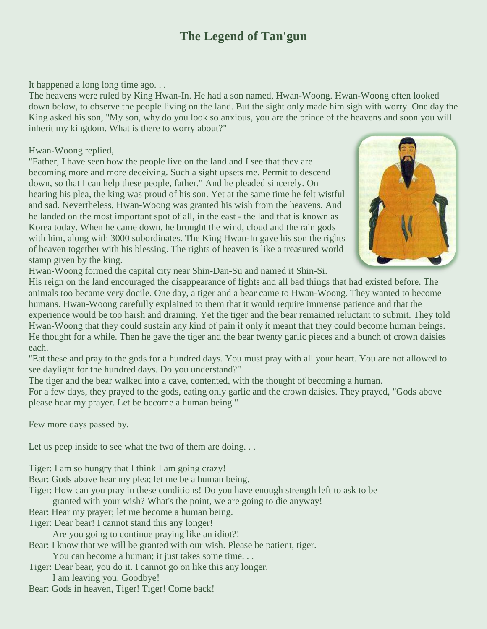## **The Legend of Tan'gun**

It happened a long long time ago. . .

The heavens were ruled by King Hwan-In. He had a son named, Hwan-Woong. Hwan-Woong often looked down below, to observe the people living on the land. But the sight only made him sigh with worry. One day the King asked his son, "My son, why do you look so anxious, you are the prince of the heavens and soon you will inherit my kingdom. What is there to worry about?"

## Hwan-Woong replied,

"Father, I have seen how the people live on the land and I see that they are becoming more and more deceiving. Such a sight upsets me. Permit to descend down, so that I can help these people, father." And he pleaded sincerely. On hearing his plea, the king was proud of his son. Yet at the same time he felt wistful and sad. Nevertheless, Hwan-Woong was granted his wish from the heavens. And he landed on the most important spot of all, in the east - the land that is known as Korea today. When he came down, he brought the wind, cloud and the rain gods with him, along with 3000 subordinates. The King Hwan-In gave his son the rights of heaven together with his blessing. The rights of heaven is like a treasured world stamp given by the king.



Hwan-Woong formed the capital city near Shin-Dan-Su and named it Shin-Si.

His reign on the land encouraged the disappearance of fights and all bad things that had existed before. The animals too became very docile. One day, a tiger and a bear came to Hwan-Woong. They wanted to become humans. Hwan-Woong carefully explained to them that it would require immense patience and that the experience would be too harsh and draining. Yet the tiger and the bear remained reluctant to submit. They told Hwan-Woong that they could sustain any kind of pain if only it meant that they could become human beings. He thought for a while. Then he gave the tiger and the bear twenty garlic pieces and a bunch of crown daisies each.

"Eat these and pray to the gods for a hundred days. You must pray with all your heart. You are not allowed to see daylight for the hundred days. Do you understand?"

The tiger and the bear walked into a cave, contented, with the thought of becoming a human.

For a few days, they prayed to the gods, eating only garlic and the crown daisies. They prayed, "Gods above please hear my prayer. Let be become a human being."

Few more days passed by.

Let us peep inside to see what the two of them are doing...

- Tiger: I am so hungry that I think I am going crazy!
- Bear: Gods above hear my plea; let me be a human being.
- Tiger: How can you pray in these conditions! Do you have enough strength left to ask to be
	- granted with your wish? What's the point, we are going to die anyway!
- Bear: Hear my prayer; let me become a human being.
- Tiger: Dear bear! I cannot stand this any longer!
	- Are you going to continue praying like an idiot?!
- Bear: I know that we will be granted with our wish. Please be patient, tiger.
	- You can become a human; it just takes some time. . .
- Tiger: Dear bear, you do it. I cannot go on like this any longer.
	- I am leaving you. Goodbye!
- Bear: Gods in heaven, Tiger! Tiger! Come back!